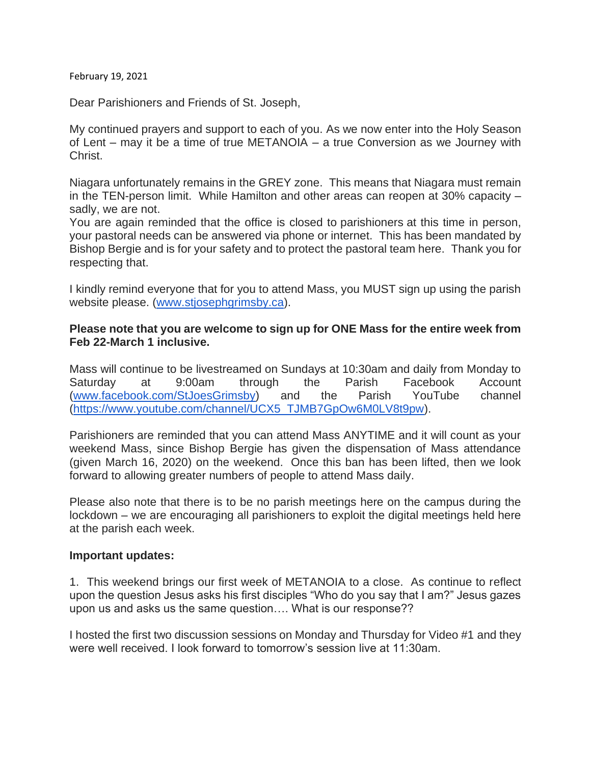February 19, 2021

Dear Parishioners and Friends of St. Joseph,

My continued prayers and support to each of you. As we now enter into the Holy Season of Lent – may it be a time of true METANOIA – a true Conversion as we Journey with Christ.

Niagara unfortunately remains in the GREY zone. This means that Niagara must remain in the TEN-person limit. While Hamilton and other areas can reopen at 30% capacity – sadly, we are not.

You are again reminded that the office is closed to parishioners at this time in person, your pastoral needs can be answered via phone or internet. This has been mandated by Bishop Bergie and is for your safety and to protect the pastoral team here. Thank you for respecting that.

I kindly remind everyone that for you to attend Mass, you MUST sign up using the parish website please. [\(www.stjosephgrimsby.ca\)](http://www.stjosephgrimsby.ca/).

### **Please note that you are welcome to sign up for ONE Mass for the entire week from Feb 22-March 1 inclusive.**

Mass will continue to be livestreamed on Sundays at 10:30am and daily from Monday to Saturday at 9:00am through the Parish Facebook Account [\(www.facebook.com/StJoesGrimsby\)](http://www.facebook.com/StJoesGrimsby) and the Parish YouTube channel [\(https://www.youtube.com/channel/UCX5\\_TJMB7GpOw6M0LV8t9pw\)](https://www.youtube.com/channel/UCX5_TJMB7GpOw6M0LV8t9pw).

Parishioners are reminded that you can attend Mass ANYTIME and it will count as your weekend Mass, since Bishop Bergie has given the dispensation of Mass attendance (given March 16, 2020) on the weekend. Once this ban has been lifted, then we look forward to allowing greater numbers of people to attend Mass daily.

Please also note that there is to be no parish meetings here on the campus during the lockdown – we are encouraging all parishioners to exploit the digital meetings held here at the parish each week.

#### **Important updates:**

1. This weekend brings our first week of METANOIA to a close. As continue to reflect upon the question Jesus asks his first disciples "Who do you say that I am?" Jesus gazes upon us and asks us the same question…. What is our response??

I hosted the first two discussion sessions on Monday and Thursday for Video #1 and they were well received. I look forward to tomorrow's session live at 11:30am.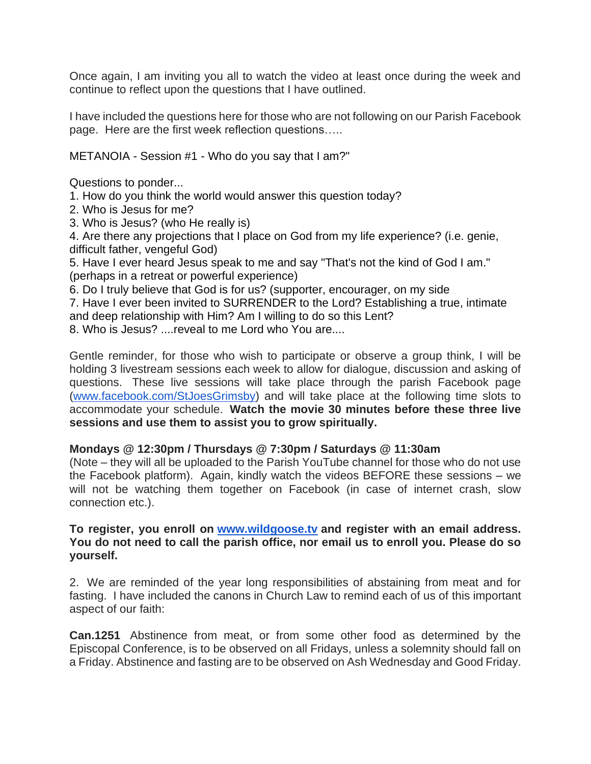Once again, I am inviting you all to watch the video at least once during the week and continue to reflect upon the questions that I have outlined.

I have included the questions here for those who are not following on our Parish Facebook page. Here are the first week reflection questions…..

METANOIA - Session #1 - Who do you say that I am?"

Questions to ponder...

- 1. How do you think the world would answer this question today?
- 2. Who is Jesus for me?
- 3. Who is Jesus? (who He really is)
- 4. Are there any projections that I place on God from my life experience? (i.e. genie, difficult father, vengeful God)
- 5. Have I ever heard Jesus speak to me and say "That's not the kind of God I am." (perhaps in a retreat or powerful experience)
- 6. Do I truly believe that God is for us? (supporter, encourager, on my side
- 7. Have I ever been invited to SURRENDER to the Lord? Establishing a true, intimate and deep relationship with Him? Am I willing to do so this Lent?
- 8. Who is Jesus? ....reveal to me Lord who You are....

Gentle reminder, for those who wish to participate or observe a group think, I will be holding 3 livestream sessions each week to allow for dialogue, discussion and asking of questions. These live sessions will take place through the parish Facebook page [\(www.facebook.com/StJoesGrimsby\)](http://www.facebook.com/StJoesGrimsby) and will take place at the following time slots to accommodate your schedule. **Watch the movie 30 minutes before these three live sessions and use them to assist you to grow spiritually.**

#### **Mondays @ 12:30pm / Thursdays @ 7:30pm / Saturdays @ 11:30am**

(Note – they will all be uploaded to the Parish YouTube channel for those who do not use the Facebook platform). Again, kindly watch the videos BEFORE these sessions – we will not be watching them together on Facebook (in case of internet crash, slow connection etc.).

#### **To register, you enroll on [www.wildgoose.tv](http://www.wildgoose.tv/) and register with an email address. You do not need to call the parish office, nor email us to enroll you. Please do so yourself.**

2. We are reminded of the year long responsibilities of abstaining from meat and for fasting. I have included the canons in Church Law to remind each of us of this important aspect of our faith:

**Can.1251** Abstinence from meat, or from some other food as determined by the Episcopal Conference, is to be observed on all Fridays, unless a solemnity should fall on a Friday. Abstinence and fasting are to be observed on Ash Wednesday and Good Friday.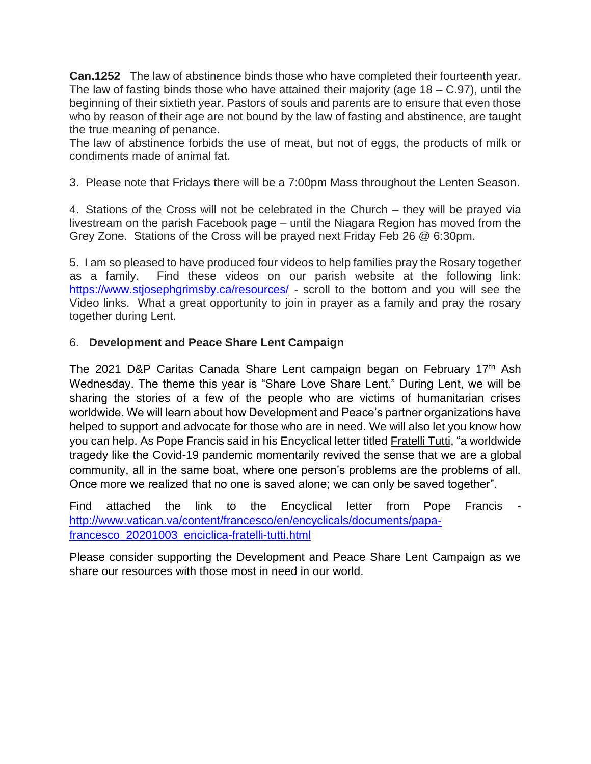**Can.1252** The law of abstinence binds those who have completed their fourteenth year. The law of fasting binds those who have attained their majority (age  $18 - C.97$ ), until the beginning of their sixtieth year. Pastors of souls and parents are to ensure that even those who by reason of their age are not bound by the law of fasting and abstinence, are taught the true meaning of penance.

The law of abstinence forbids the use of meat, but not of eggs, the products of milk or condiments made of animal fat.

3. Please note that Fridays there will be a 7:00pm Mass throughout the Lenten Season.

4. Stations of the Cross will not be celebrated in the Church – they will be prayed via livestream on the parish Facebook page – until the Niagara Region has moved from the Grey Zone. Stations of the Cross will be prayed next Friday Feb 26 @ 6:30pm.

5. I am so pleased to have produced four videos to help families pray the Rosary together as a family. Find these videos on our parish website at the following link: <https://www.stjosephgrimsby.ca/resources/> - scroll to the bottom and you will see the Video links. What a great opportunity to join in prayer as a family and pray the rosary together during Lent.

# 6. **Development and Peace Share Lent Campaign**

The 2021 D&P Caritas Canada Share Lent campaign began on February 17th Ash Wednesday. The theme this year is "Share Love Share Lent." During Lent, we will be sharing the stories of a few of the people who are victims of humanitarian crises worldwide. We will learn about how Development and Peace's partner organizations have helped to support and advocate for those who are in need. We will also let you know how you can help. As Pope Francis said in his Encyclical letter titled Fratelli Tutti, "a worldwide tragedy like the Covid-19 pandemic momentarily revived the sense that we are a global community, all in the same boat, where one person's problems are the problems of all. Once more we realized that no one is saved alone; we can only be saved together".

Find attached the link to the Encyclical letter from Pope Francis [http://www.vatican.va/content/francesco/en/encyclicals/documents/papa](http://www.vatican.va/content/francesco/en/encyclicals/documents/papa-francesco_20201003_enciclica-fratelli-tutti.html)[francesco\\_20201003\\_enciclica-fratelli-tutti.html](http://www.vatican.va/content/francesco/en/encyclicals/documents/papa-francesco_20201003_enciclica-fratelli-tutti.html)

Please consider supporting the Development and Peace Share Lent Campaign as we share our resources with those most in need in our world.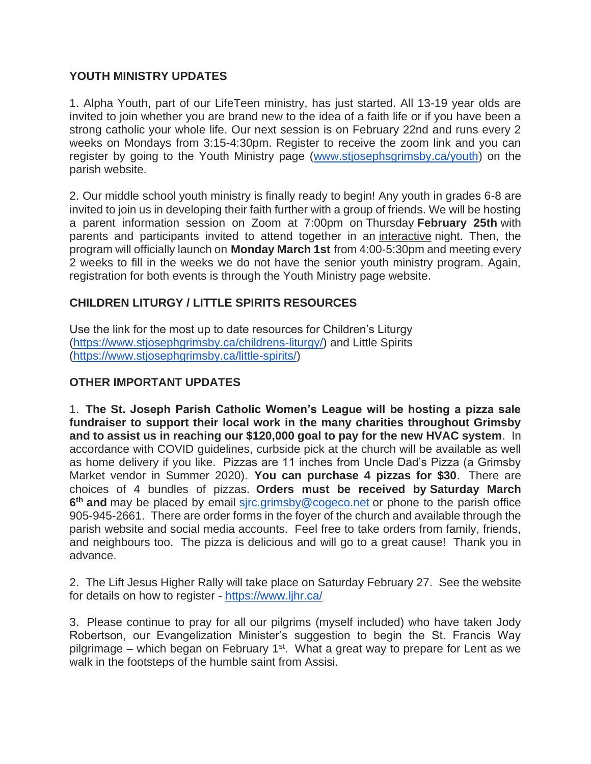### **YOUTH MINISTRY UPDATES**

1. Alpha Youth, part of our LifeTeen ministry, has just started. All 13-19 year olds are invited to join whether you are brand new to the idea of a faith life or if you have been a strong catholic your whole life. Our next session is on February 22nd and runs every 2 weeks on Mondays from 3:15-4:30pm. Register to receive the zoom link and you can register by going to the Youth Ministry page [\(www.stjosephsgrimsby.ca/youth\)](http://www.stjosephsgrimsby.ca/youth) on the parish website.

2. Our middle school youth ministry is finally ready to begin! Any youth in grades 6-8 are invited to join us in developing their faith further with a group of friends. We will be hosting a parent information session on Zoom at 7:00pm on Thursday **February 25th** with parents and participants invited to attend together in an interactive night. Then, the program will officially launch on **Monday March 1st** from 4:00-5:30pm and meeting every 2 weeks to fill in the weeks we do not have the senior youth ministry program. Again, registration for both events is through the Youth Ministry page website.

# **CHILDREN LITURGY / LITTLE SPIRITS RESOURCES**

Use the link for the most up to date resources for Children's Liturgy [\(https://www.stjosephgrimsby.ca/childrens-liturgy/\)](https://www.stjosephgrimsby.ca/childrens-liturgy/) and Little Spirits [\(https://www.stjosephgrimsby.ca/little-spirits/\)](https://www.stjosephgrimsby.ca/little-spirits/)

### **OTHER IMPORTANT UPDATES**

1. **The St. Joseph Parish Catholic Women's League will be hosting a pizza sale fundraiser to support their local work in the many charities throughout Grimsby and to assist us in reaching our \$120,000 goal to pay for the new HVAC system**. In accordance with COVID guidelines, curbside pick at the church will be available as well as home delivery if you like. Pizzas are 11 inches from Uncle Dad's Pizza (a Grimsby Market vendor in Summer 2020). **You can purchase 4 pizzas for \$30**. There are choices of 4 bundles of pizzas. **Orders must be received by Saturday March**  6<sup>th</sup> and may be placed by email sirc.grimsby@cogeco.net or phone to the parish office 905-945-2661. There are order forms in the foyer of the church and available through the parish website and social media accounts. Feel free to take orders from family, friends, and neighbours too. The pizza is delicious and will go to a great cause! Thank you in advance.

2. The Lift Jesus Higher Rally will take place on Saturday February 27. See the website for details on how to register - <https://www.ljhr.ca/>

3. Please continue to pray for all our pilgrims (myself included) who have taken Jody Robertson, our Evangelization Minister's suggestion to begin the St. Francis Way pilgrimage – which began on February 1<sup>st</sup>. What a great way to prepare for Lent as we walk in the footsteps of the humble saint from Assisi.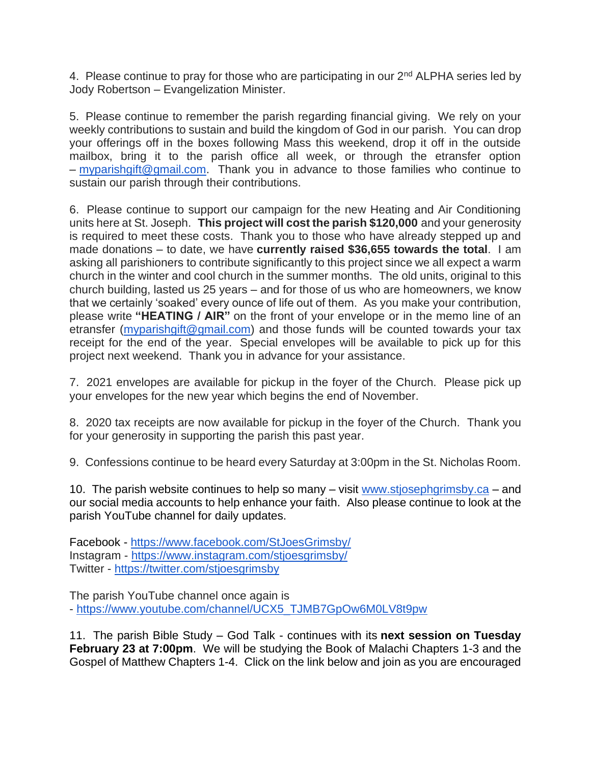4. Please continue to pray for those who are participating in our 2<sup>nd</sup> ALPHA series led by Jody Robertson – Evangelization Minister.

5. Please continue to remember the parish regarding financial giving. We rely on your weekly contributions to sustain and build the kingdom of God in our parish. You can drop your offerings off in the boxes following Mass this weekend, drop it off in the outside mailbox, bring it to the parish office all week, or through the etransfer option – [myparishgift@gmail.com.](mailto:myparishgift@gmail.com) Thank you in advance to those families who continue to sustain our parish through their contributions.

6. Please continue to support our campaign for the new Heating and Air Conditioning units here at St. Joseph. **This project will cost the parish \$120,000** and your generosity is required to meet these costs. Thank you to those who have already stepped up and made donations – to date, we have **currently raised \$36,655 towards the total**. I am asking all parishioners to contribute significantly to this project since we all expect a warm church in the winter and cool church in the summer months. The old units, original to this church building, lasted us 25 years – and for those of us who are homeowners, we know that we certainly 'soaked' every ounce of life out of them. As you make your contribution, please write **"HEATING / AIR"** on the front of your envelope or in the memo line of an etransfer [\(myparishgift@gmail.com\)](mailto:myparishgift@gmail.com) and those funds will be counted towards your tax receipt for the end of the year. Special envelopes will be available to pick up for this project next weekend. Thank you in advance for your assistance.

7. 2021 envelopes are available for pickup in the foyer of the Church. Please pick up your envelopes for the new year which begins the end of November.

8. 2020 tax receipts are now available for pickup in the foyer of the Church. Thank you for your generosity in supporting the parish this past year.

9. Confessions continue to be heard every Saturday at 3:00pm in the St. Nicholas Room.

10. The parish website continues to help so many – visit [www.stjosephgrimsby.ca](http://www.stjosephgrimsby.ca/) – and our social media accounts to help enhance your faith. Also please continue to look at the parish YouTube channel for daily updates.

Facebook - <https://www.facebook.com/StJoesGrimsby/> Instagram - <https://www.instagram.com/stjoesgrimsby/> Twitter - <https://twitter.com/stjoesgrimsby>

The parish YouTube channel once again is - [https://www.youtube.com/channel/UCX5\\_TJMB7GpOw6M0LV8t9pw](https://www.youtube.com/channel/UCX5_TJMB7GpOw6M0LV8t9pw)

11. The parish Bible Study – God Talk - continues with its **next session on Tuesday February 23 at 7:00pm**. We will be studying the Book of Malachi Chapters 1-3 and the Gospel of Matthew Chapters 1-4. Click on the link below and join as you are encouraged